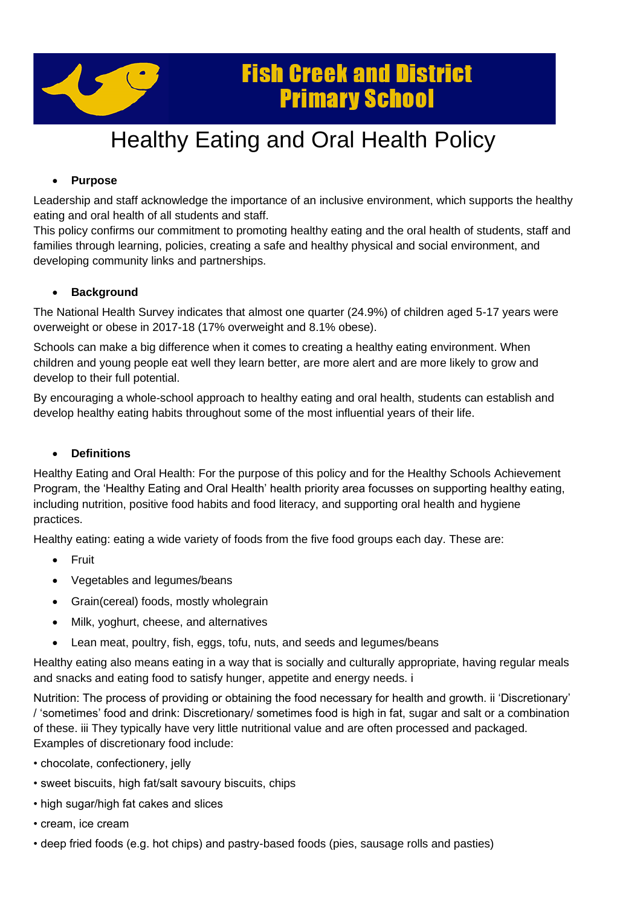

## **Fish Creek and District Primary School**

# Healthy Eating and Oral Health Policy

## • **Purpose**

Leadership and staff acknowledge the importance of an inclusive environment, which supports the healthy eating and oral health of all students and staff.

This policy confirms our commitment to promoting healthy eating and the oral health of students, staff and families through learning, policies, creating a safe and healthy physical and social environment, and developing community links and partnerships.

## • **Background**

The National Health Survey indicates that almost one quarter (24.9%) of children aged 5-17 years were overweight or obese in 2017-18 (17% overweight and 8.1% obese).

Schools can make a big difference when it comes to creating a healthy eating environment. When children and young people eat well they learn better, are more alert and are more likely to grow and develop to their full potential.

By encouraging a whole-school approach to healthy eating and oral health, students can establish and develop healthy eating habits throughout some of the most influential years of their life.

## • **Definitions**

Healthy Eating and Oral Health: For the purpose of this policy and for the Healthy Schools Achievement Program, the 'Healthy Eating and Oral Health' health priority area focusses on supporting healthy eating, including nutrition, positive food habits and food literacy, and supporting oral health and hygiene practices.

Healthy eating: eating a wide variety of foods from the five food groups each day. These are:

- Fruit
- Vegetables and legumes/beans
- Grain(cereal) foods, mostly wholegrain
- Milk, yoghurt, cheese, and alternatives
- Lean meat, poultry, fish, eggs, tofu, nuts, and seeds and legumes/beans

Healthy eating also means eating in a way that is socially and culturally appropriate, having regular meals and snacks and eating food to satisfy hunger, appetite and energy needs. i

Nutrition: The process of providing or obtaining the food necessary for health and growth. ii 'Discretionary' / 'sometimes' food and drink: Discretionary/ sometimes food is high in fat, sugar and salt or a combination of these. iii They typically have very little nutritional value and are often processed and packaged. Examples of discretionary food include:

- chocolate, confectionery, jelly
- sweet biscuits, high fat/salt savoury biscuits, chips
- high sugar/high fat cakes and slices
- cream, ice cream
- deep fried foods (e.g. hot chips) and pastry-based foods (pies, sausage rolls and pasties)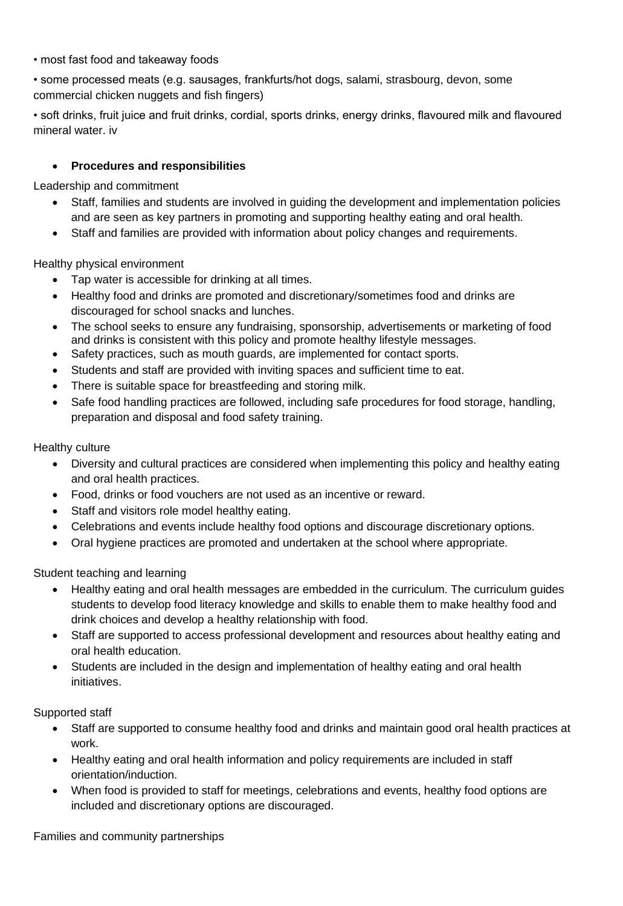### • most fast food and takeaway foods

• some processed meats (e.g. sausages, frankfurts/hot dogs, salami, strasbourg, devon, some commercial chicken nuggets and fish fingers)

• soft drinks, fruit juice and fruit drinks, cordial, sports drinks, energy drinks, flavoured milk and flavoured mineral water. iv

## • **Procedures and responsibilities**

Leadership and commitment

- Staff, families and students are involved in guiding the development and implementation policies and are seen as key partners in promoting and supporting healthy eating and oral health.
- Staff and families are provided with information about policy changes and requirements.

Healthy physical environment

- Tap water is accessible for drinking at all times.
- Healthy food and drinks are promoted and discretionary/sometimes food and drinks are discouraged for school snacks and lunches.
- The school seeks to ensure any fundraising, sponsorship, advertisements or marketing of food and drinks is consistent with this policy and promote healthy lifestyle messages.
- Safety practices, such as mouth guards, are implemented for contact sports.
- Students and staff are provided with inviting spaces and sufficient time to eat.
- There is suitable space for breastfeeding and storing milk.
- Safe food handling practices are followed, including safe procedures for food storage, handling, preparation and disposal and food safety training.

Healthy culture

- Diversity and cultural practices are considered when implementing this policy and healthy eating and oral health practices.
- Food, drinks or food vouchers are not used as an incentive or reward.
- Staff and visitors role model healthy eating.
- Celebrations and events include healthy food options and discourage discretionary options.
- Oral hygiene practices are promoted and undertaken at the school where appropriate.

Student teaching and learning

- Healthy eating and oral health messages are embedded in the curriculum. The curriculum guides students to develop food literacy knowledge and skills to enable them to make healthy food and drink choices and develop a healthy relationship with food.
- Staff are supported to access professional development and resources about healthy eating and oral health education.
- Students are included in the design and implementation of healthy eating and oral health initiatives.

Supported staff

- Staff are supported to consume healthy food and drinks and maintain good oral health practices at work.
- Healthy eating and oral health information and policy requirements are included in staff orientation/induction.
- When food is provided to staff for meetings, celebrations and events, healthy food options are included and discretionary options are discouraged.

Families and community partnerships